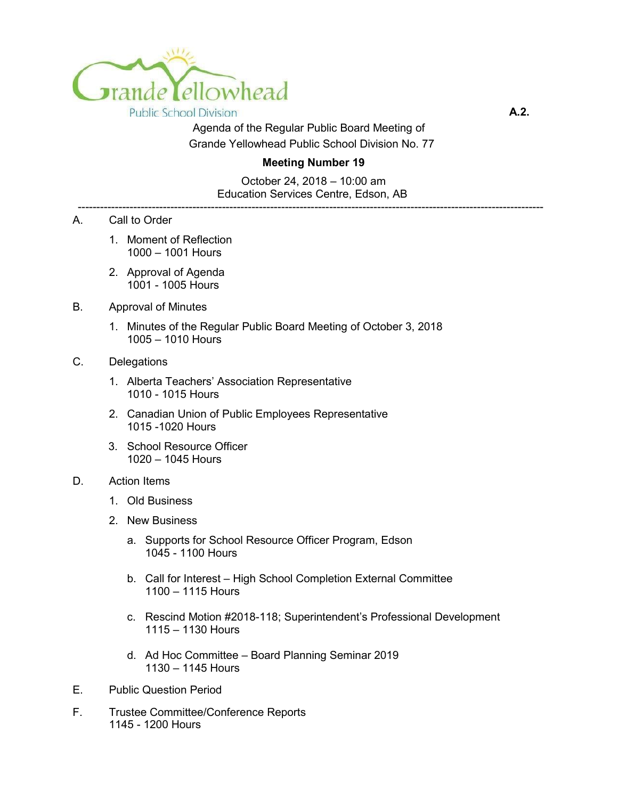

**A.2.** 

Agenda of the Regular Public Board Meeting of Grande Yellowhead Public School Division No. 77

## **Meeting Number 19**

October 24, 2018 – 10:00 am Education Services Centre, Edson, AB ------------------------------------------------------------------------------------------------------------------------------

- A. Call to Order
	- 1. Moment of Reflection 1000 – 1001 Hours
	- 2. Approval of Agenda 1001 - 1005 Hours
- B. Approval of Minutes
	- 1. Minutes of the Regular Public Board Meeting of October 3, 2018 1005 – 1010 Hours

## C. Delegations

- 1. Alberta Teachers' Association Representative 1010 - 1015 Hours
- 2. Canadian Union of Public Employees Representative 1015 -1020 Hours
- 3. School Resource Officer 1020 – 1045 Hours

## D. Action Items

- 1. Old Business
- 2. New Business
	- a. Supports for School Resource Officer Program, Edson 1045 - 1100 Hours
	- b. Call for Interest High School Completion External Committee 1100 – 1115 Hours
	- c. Rescind Motion #2018-118; Superintendent's Professional Development 1115 – 1130 Hours
	- d. Ad Hoc Committee Board Planning Seminar 2019 1130 – 1145 Hours
- E. Public Question Period
- F. Trustee Committee/Conference Reports 1145 - 1200 Hours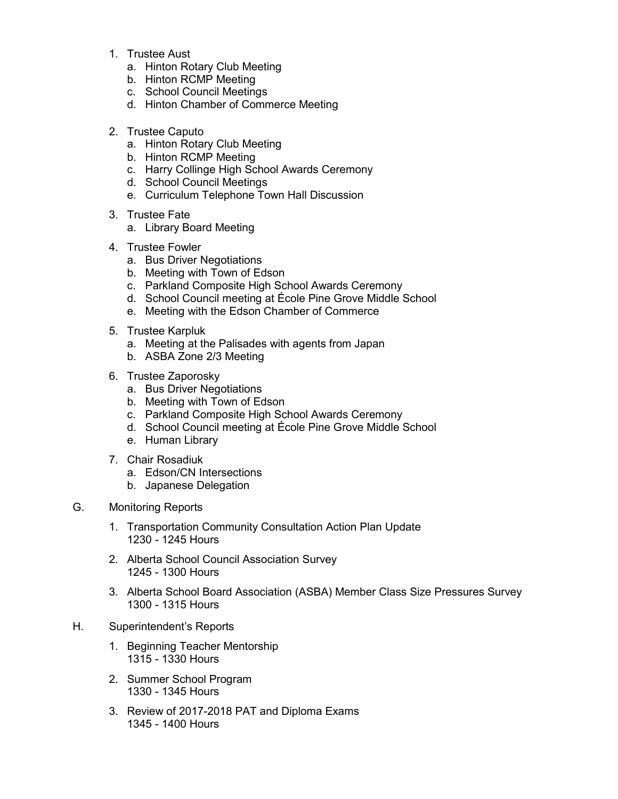- 1. Trustee Aust
	- a. Hinton Rotary Club Meeting
	- b. Hinton RCMP Meeting
	- c. School Council Meetings
	- d. Hinton Chamber of Commerce Meeting
- 2. Trustee Caputo
	- a. Hinton Rotary Club Meeting
	- b. Hinton RCMP Meeting
	- c. Harry Collinge High School Awards Ceremony
	- d. School Council Meetings
	- e. Curriculum Telephone Town Hall Discussion
- 3. Trustee Fate
	- a. Library Board Meeting
- 4. Trustee Fowler
	- a. Bus Driver Negotiations
	- b. Meeting with Town of Edson
	- c. Parkland Composite High School Awards Ceremony
	- d. School Council meeting at École Pine Grove Middle School
	- e. Meeting with the Edson Chamber of Commerce
- 5. Trustee Karpluk
	- a. Meeting at the Palisades with agents from Japan
	- b. ASBA Zone 2/3 Meeting
- 6. Trustee Zaporosky
	- a. Bus Driver Negotiations
	- b. Meeting with Town of Edson
	- c. Parkland Composite High School Awards Ceremony
	- d. School Council meeting at École Pine Grove Middle School
	- e. Human Library
- 7. Chair Rosadiuk
	- a. Edson/CN Intersections
	- b. Japanese Delegation
- G. Monitoring Reports
	- 1. Transportation Community Consultation Action Plan Update 1230 - 1245 Hours
	- 2. Alberta School Council Association Survey 1245 - 1300 Hours
	- 3. Alberta School Board Association (ASBA) Member Class Size Pressures Survey 1300 - 1315 Hours
- H. Superintendent's Reports
	- 1. Beginning Teacher Mentorship 1315 - 1330 Hours
	- 2. Summer School Program 1330 - 1345 Hours
	- 3. Review of 2017-2018 PAT and Diploma Exams 1345 - 1400 Hours